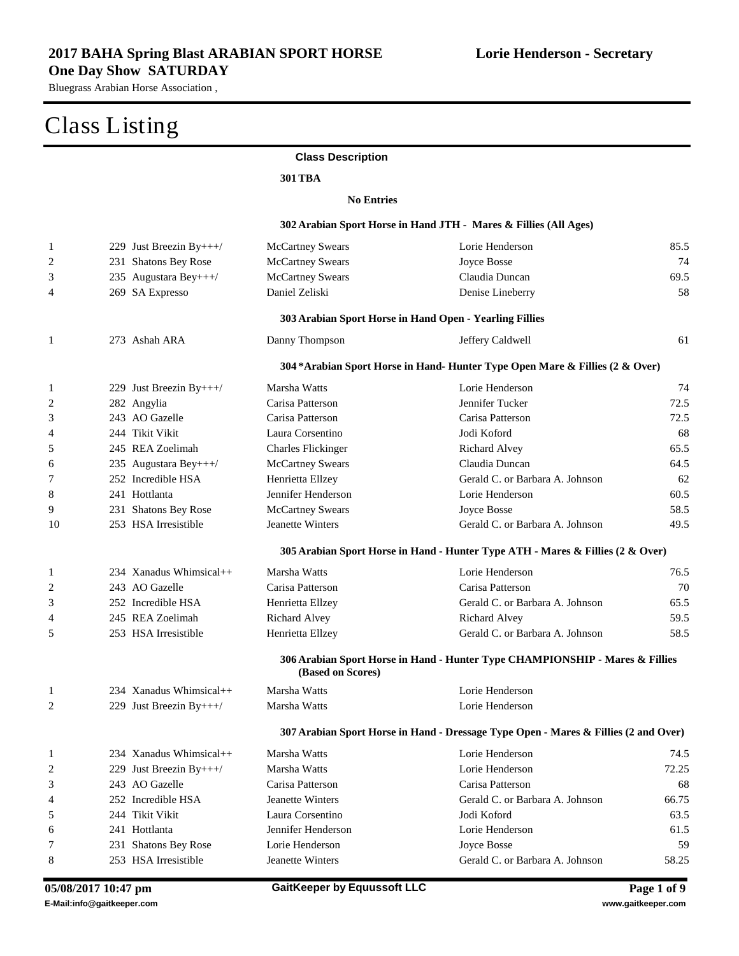**Lorie Henderson - Secretary**

Bluegrass Arabian Horse Association ,

#### Class Listing

#### **Class Description**

#### **301TBA**

#### **No Entries**

|                         |                         |                           | 302 Arabian Sport Horse in Hand JTH - Mares & Fillies (All Ages)                    |       |
|-------------------------|-------------------------|---------------------------|-------------------------------------------------------------------------------------|-------|
| $\mathbf{1}$            | 229 Just Breezin By+++/ | <b>McCartney Swears</b>   | Lorie Henderson                                                                     | 85.5  |
| $\overline{c}$          | 231 Shatons Bey Rose    | <b>McCartney Swears</b>   | Joyce Bosse                                                                         | 74    |
| 3                       | 235 Augustara Bey+++/   | <b>McCartney Swears</b>   | Claudia Duncan                                                                      | 69.5  |
| 4                       | 269 SA Expresso         | Daniel Zeliski            | Denise Lineberry                                                                    | 58    |
|                         |                         |                           | 303 Arabian Sport Horse in Hand Open - Yearling Fillies                             |       |
| $\mathbf{1}$            | 273 Ashah ARA           | Danny Thompson            | Jeffery Caldwell                                                                    | 61    |
|                         |                         |                           | 304*Arabian Sport Horse in Hand-Hunter Type Open Mare & Fillies (2 & Over)          |       |
| $\mathbf{1}$            | 229 Just Breezin By+++/ | Marsha Watts              | Lorie Henderson                                                                     | 74    |
| $\overline{2}$          | 282 Angylia             | Carisa Patterson          | Jennifer Tucker                                                                     | 72.5  |
| 3                       | 243 AO Gazelle          | Carisa Patterson          | Carisa Patterson                                                                    | 72.5  |
| 4                       | 244 Tikit Vikit         | Laura Corsentino          | Jodi Koford                                                                         | 68    |
| 5                       | 245 REA Zoelimah        | <b>Charles Flickinger</b> | Richard Alvey                                                                       | 65.5  |
| 6                       | 235 Augustara Bey+++/   | <b>McCartney Swears</b>   | Claudia Duncan                                                                      | 64.5  |
| 7                       | 252 Incredible HSA      | Henrietta Ellzey          | Gerald C. or Barbara A. Johnson                                                     | 62    |
| 8                       | 241 Hottlanta           | Jennifer Henderson        | Lorie Henderson                                                                     | 60.5  |
| 9                       | 231 Shatons Bey Rose    | <b>McCartney Swears</b>   | Joyce Bosse                                                                         | 58.5  |
| 10                      | 253 HSA Irresistible    | Jeanette Winters          | Gerald C. or Barbara A. Johnson                                                     | 49.5  |
|                         |                         |                           | 305 Arabian Sport Horse in Hand - Hunter Type ATH - Mares & Fillies (2 & Over)      |       |
| 1                       | 234 Xanadus Whimsical++ | Marsha Watts              | Lorie Henderson                                                                     | 76.5  |
| 2                       | 243 AO Gazelle          | Carisa Patterson          | Carisa Patterson                                                                    | 70    |
| 3                       | 252 Incredible HSA      | Henrietta Ellzey          | Gerald C. or Barbara A. Johnson                                                     | 65.5  |
| 4                       | 245 REA Zoelimah        | Richard Alvey             | Richard Alvey                                                                       | 59.5  |
| 5                       | 253 HSA Irresistible    | Henrietta Ellzey          | Gerald C. or Barbara A. Johnson                                                     | 58.5  |
|                         |                         | (Based on Scores)         | 306 Arabian Sport Horse in Hand - Hunter Type CHAMPIONSHIP - Mares & Fillies        |       |
| $\mathbf{1}$            | 234 Xanadus Whimsical++ | Marsha Watts              | Lorie Henderson                                                                     |       |
| 2                       | 229 Just Breezin By+++/ | Marsha Watts              | Lorie Henderson                                                                     |       |
|                         |                         |                           | 307 Arabian Sport Horse in Hand - Dressage Type Open - Mares & Fillies (2 and Over) |       |
| 1                       | 234 Xanadus Whimsical++ | Marsha Watts              | Lorie Henderson                                                                     | 74.5  |
| $\overline{\mathbf{c}}$ | 229 Just Breezin By+++/ | Marsha Watts              | Lorie Henderson                                                                     | 72.25 |
| 3                       | 243 AO Gazelle          | Carisa Patterson          | Carisa Patterson                                                                    | 68    |
| 4                       | 252 Incredible HSA      | Jeanette Winters          | Gerald C. or Barbara A. Johnson                                                     | 66.75 |
| 5                       | 244 Tikit Vikit         | Laura Corsentino          | Jodi Koford                                                                         | 63.5  |
| 6                       | 241 Hottlanta           | Jennifer Henderson        | Lorie Henderson                                                                     | 61.5  |
| 7                       | 231 Shatons Bey Rose    | Lorie Henderson           | <b>Joyce Bosse</b>                                                                  | 59    |
| 8                       | 253 HSA Irresistible    | Jeanette Winters          | Gerald C. or Barbara A. Johnson                                                     | 58.25 |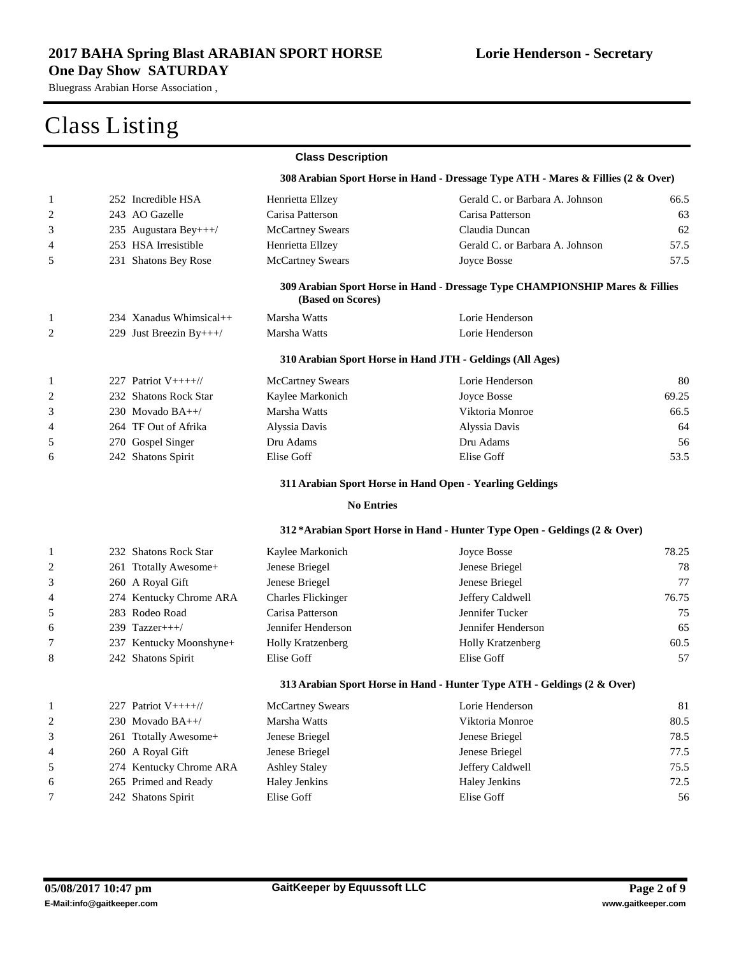#### **2017 BAHA Spring Blast ARABIAN SPORT HORSE One Day Show SATURDAY**

Bluegrass Arabian Horse Association ,

|              |                         | <b>Class Description</b>  |                                                                                  |       |
|--------------|-------------------------|---------------------------|----------------------------------------------------------------------------------|-------|
|              |                         |                           | 308 Arabian Sport Horse in Hand - Dressage Type ATH - Mares & Fillies (2 & Over) |       |
| 1            | 252 Incredible HSA      | Henrietta Ellzey          | Gerald C. or Barbara A. Johnson                                                  | 66.5  |
| 2            | 243 AO Gazelle          | Carisa Patterson          | Carisa Patterson                                                                 | 63    |
| 3            | 235 Augustara Bey+++/   | <b>McCartney Swears</b>   | Claudia Duncan                                                                   | 62    |
| 4            | 253 HSA Irresistible    | Henrietta Ellzey          | Gerald C. or Barbara A. Johnson                                                  | 57.5  |
| 5            | 231 Shatons Bey Rose    | <b>McCartney Swears</b>   | Joyce Bosse                                                                      | 57.5  |
|              |                         | (Based on Scores)         | 309 Arabian Sport Horse in Hand - Dressage Type CHAMPIONSHIP Mares & Fillies     |       |
| 1            | 234 Xanadus Whimsical++ | Marsha Watts              | Lorie Henderson                                                                  |       |
| 2            | 229 Just Breezin By+++/ | Marsha Watts              | Lorie Henderson                                                                  |       |
|              |                         |                           | 310 Arabian Sport Horse in Hand JTH - Geldings (All Ages)                        |       |
| 1            | 227 Patriot $V_{++++}/$ | <b>McCartney Swears</b>   | Lorie Henderson                                                                  | 80    |
| 2            | 232 Shatons Rock Star   | Kaylee Markonich          | Joyce Bosse                                                                      | 69.25 |
| 3            | 230 Movado $BA++/$      | Marsha Watts              | Viktoria Monroe                                                                  | 66.5  |
| 4            | 264 TF Out of Afrika    | Alyssia Davis             | Alyssia Davis                                                                    | 64    |
| 5            | 270 Gospel Singer       | Dru Adams                 | Dru Adams                                                                        | 56    |
| 6            | 242 Shatons Spirit      | Elise Goff                | Elise Goff                                                                       | 53.5  |
|              |                         |                           | 311 Arabian Sport Horse in Hand Open - Yearling Geldings                         |       |
|              |                         | <b>No Entries</b>         |                                                                                  |       |
|              |                         |                           | 312*Arabian Sport Horse in Hand - Hunter Type Open - Geldings (2 & Over)         |       |
| 1            | 232 Shatons Rock Star   | Kaylee Markonich          | Joyce Bosse                                                                      | 78.25 |
| 2            | 261 Ttotally Awesome+   | Jenese Briegel            | Jenese Briegel                                                                   | 78    |
| 3            | 260 A Royal Gift        | Jenese Briegel            | Jenese Briegel                                                                   | 77    |
| 4            | 274 Kentucky Chrome ARA | <b>Charles Flickinger</b> | Jeffery Caldwell                                                                 | 76.75 |
| 5            | 283 Rodeo Road          | Carisa Patterson          | Jennifer Tucker                                                                  | 75    |
| 6            | 239 Tazzer+++/          | Jennifer Henderson        | Jennifer Henderson                                                               | 65    |
| 7            | 237 Kentucky Moonshyne+ | Holly Kratzenberg         | Holly Kratzenberg                                                                | 60.5  |
| 8            | 242 Shatons Spirit      | Elise Goff                | Elise Goff                                                                       | 57    |
|              |                         |                           | 313 Arabian Sport Horse in Hand - Hunter Type ATH - Geldings (2 & Over)          |       |
| $\mathbf{1}$ | 227 Patriot V++++//     | <b>McCartney Swears</b>   | Lorie Henderson                                                                  | 81    |
| 2            | 230 Movado BA++/        | Marsha Watts              | Viktoria Monroe                                                                  | 80.5  |
| 3            | 261 Ttotally Awesome+   | Jenese Briegel            | Jenese Briegel                                                                   | 78.5  |
| 4            | 260 A Royal Gift        | Jenese Briegel            | Jenese Briegel                                                                   | 77.5  |
| 5            | 274 Kentucky Chrome ARA | <b>Ashley Staley</b>      | Jeffery Caldwell                                                                 | 75.5  |
| 6            | 265 Primed and Ready    | <b>Haley Jenkins</b>      | Haley Jenkins                                                                    | 72.5  |
| 7            | 242 Shatons Spirit      | Elise Goff                | Elise Goff                                                                       | 56    |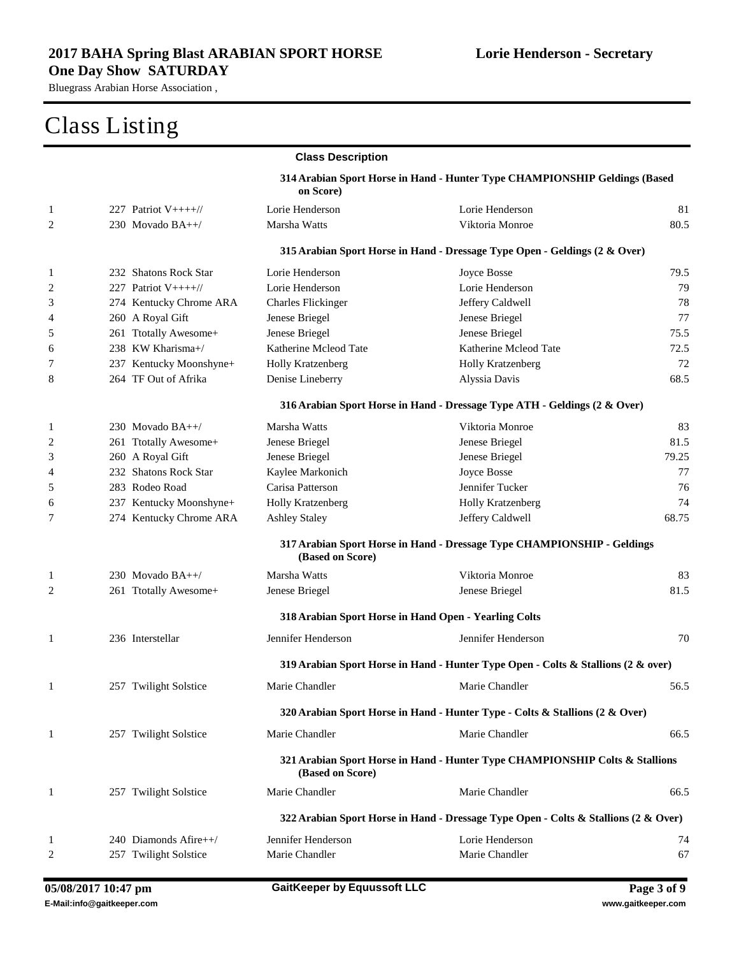|              |                         | <b>Class Description</b>                              |                                                                                     |       |
|--------------|-------------------------|-------------------------------------------------------|-------------------------------------------------------------------------------------|-------|
|              |                         | on Score)                                             | 314 Arabian Sport Horse in Hand - Hunter Type CHAMPIONSHIP Geldings (Based          |       |
| 1            | 227 Patriot $V++++$     | Lorie Henderson                                       | Lorie Henderson                                                                     | 81    |
| 2            | 230 Movado BA++/        | Marsha Watts                                          | Viktoria Monroe                                                                     | 80.5  |
|              |                         |                                                       | 315 Arabian Sport Horse in Hand - Dressage Type Open - Geldings (2 & Over)          |       |
| 1            | 232 Shatons Rock Star   | Lorie Henderson                                       | <b>Joyce Bosse</b>                                                                  | 79.5  |
| 2            | 227 Patriot $V++++$     | Lorie Henderson                                       | Lorie Henderson                                                                     | 79    |
| 3            | 274 Kentucky Chrome ARA | <b>Charles Flickinger</b>                             | Jeffery Caldwell                                                                    | 78    |
| 4            | 260 A Royal Gift        | Jenese Briegel                                        | Jenese Briegel                                                                      | 77    |
| 5            | 261 Ttotally Awesome+   | Jenese Briegel                                        | Jenese Briegel                                                                      | 75.5  |
| 6            | 238 KW Kharisma+/       | Katherine Mcleod Tate                                 | Katherine Mcleod Tate                                                               | 72.5  |
| 7            | 237 Kentucky Moonshyne+ | Holly Kratzenberg                                     | Holly Kratzenberg                                                                   | 72    |
| 8            | 264 TF Out of Afrika    | Denise Lineberry                                      | Alyssia Davis                                                                       | 68.5  |
|              |                         |                                                       | 316 Arabian Sport Horse in Hand - Dressage Type ATH - Geldings (2 & Over)           |       |
| 1            | 230 Movado BA++/        | Marsha Watts                                          | Viktoria Monroe                                                                     | 83    |
| 2            | 261 Ttotally Awesome+   | Jenese Briegel                                        | Jenese Briegel                                                                      | 81.5  |
| 3            | 260 A Royal Gift        | Jenese Briegel                                        | Jenese Briegel                                                                      | 79.25 |
| 4            | 232 Shatons Rock Star   | Kaylee Markonich                                      | Joyce Bosse                                                                         | 77    |
| 5            | 283 Rodeo Road          | Carisa Patterson                                      | Jennifer Tucker                                                                     | 76    |
| 6            | 237 Kentucky Moonshyne+ | <b>Holly Kratzenberg</b>                              | <b>Holly Kratzenberg</b>                                                            | 74    |
| 7            | 274 Kentucky Chrome ARA | <b>Ashley Staley</b>                                  | Jeffery Caldwell                                                                    | 68.75 |
|              |                         | (Based on Score)                                      | 317 Arabian Sport Horse in Hand - Dressage Type CHAMPIONSHIP - Geldings             |       |
| 1            | 230 Movado $BA++/$      | Marsha Watts                                          | Viktoria Monroe                                                                     | 83    |
| 2            | 261 Ttotally Awesome+   | Jenese Briegel                                        | Jenese Briegel                                                                      | 81.5  |
|              |                         | 318 Arabian Sport Horse in Hand Open - Yearling Colts |                                                                                     |       |
| 1            | 236 Interstellar        | Jennifer Henderson                                    | Jennifer Henderson                                                                  | 70    |
|              |                         |                                                       |                                                                                     |       |
|              |                         |                                                       | 319 Arabian Sport Horse in Hand - Hunter Type Open - Colts & Stallions (2 & over)   |       |
|              | 257 Twilight Solstice   | Marie Chandler                                        | Marie Chandler                                                                      | 56.5  |
|              |                         |                                                       | 320 Arabian Sport Horse in Hand - Hunter Type - Colts & Stallions (2 & Over)        |       |
| $\mathbf{1}$ | 257 Twilight Solstice   | Marie Chandler                                        | Marie Chandler                                                                      | 66.5  |
|              |                         | (Based on Score)                                      | 321 Arabian Sport Horse in Hand - Hunter Type CHAMPIONSHIP Colts & Stallions        |       |
| $\mathbf{1}$ | 257 Twilight Solstice   | Marie Chandler                                        | Marie Chandler                                                                      | 66.5  |
|              |                         |                                                       | 322 Arabian Sport Horse in Hand - Dressage Type Open - Colts & Stallions (2 & Over) |       |
| 1            | 240 Diamonds Afire++/   | Jennifer Henderson                                    | Lorie Henderson                                                                     | 74    |
| 2            | 257 Twilight Solstice   | Marie Chandler                                        | Marie Chandler                                                                      | 67    |
|              |                         |                                                       |                                                                                     |       |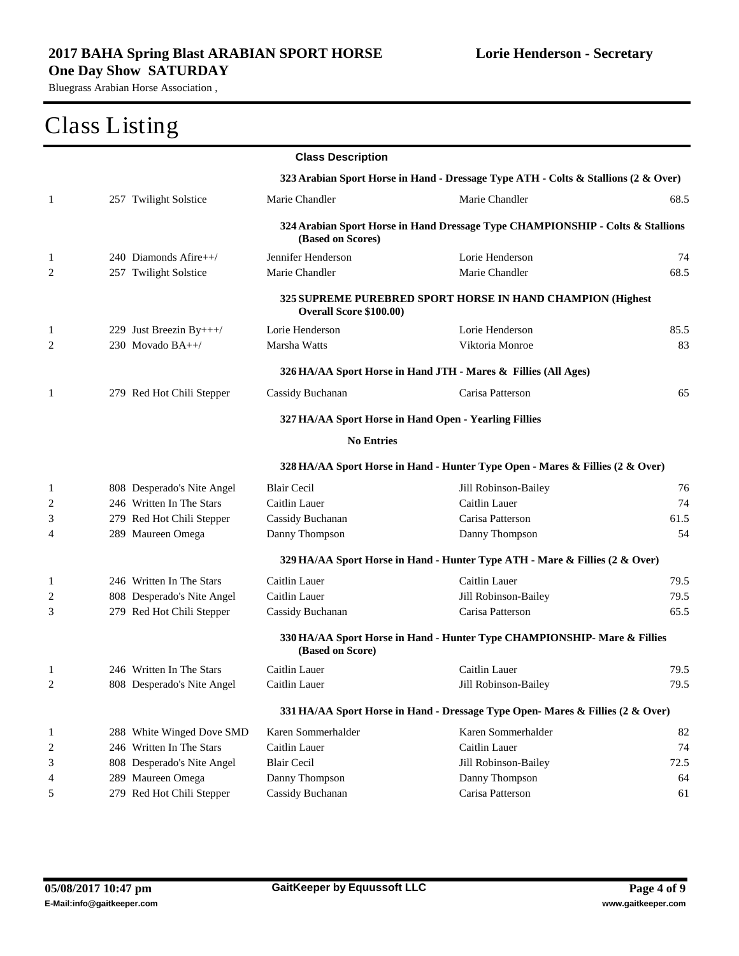|                |                            | <b>Class Description</b> |                                                                                    |      |
|----------------|----------------------------|--------------------------|------------------------------------------------------------------------------------|------|
|                |                            |                          | 323 Arabian Sport Horse in Hand - Dressage Type ATH - Colts & Stallions (2 & Over) |      |
| 1              | 257 Twilight Solstice      | Marie Chandler           | Marie Chandler                                                                     | 68.5 |
|                |                            | (Based on Scores)        | 324 Arabian Sport Horse in Hand Dressage Type CHAMPIONSHIP - Colts & Stallions     |      |
| 1              | 240 Diamonds Afire++/      | Jennifer Henderson       | Lorie Henderson                                                                    | 74   |
| 2              | 257 Twilight Solstice      | Marie Chandler           | Marie Chandler                                                                     | 68.5 |
|                |                            | Overall Score \$100.00)  | 325 SUPREME PUREBRED SPORT HORSE IN HAND CHAMPION (Highest                         |      |
| 1              | 229 Just Breezin By+++/    | Lorie Henderson          | Lorie Henderson                                                                    | 85.5 |
| 2              | 230 Movado BA++/           | Marsha Watts             | Viktoria Monroe                                                                    | 83   |
|                |                            |                          | 326 HA/AA Sport Horse in Hand JTH - Mares & Fillies (All Ages)                     |      |
| 1              | 279 Red Hot Chili Stepper  | Cassidy Buchanan         | Carisa Patterson                                                                   | 65   |
|                |                            |                          | 327 HA/AA Sport Horse in Hand Open - Yearling Fillies                              |      |
|                |                            | <b>No Entries</b>        |                                                                                    |      |
|                |                            |                          | 328 HA/AA Sport Horse in Hand - Hunter Type Open - Mares & Fillies (2 & Over)      |      |
| $\mathbf{1}$   | 808 Desperado's Nite Angel | <b>Blair Cecil</b>       | Jill Robinson-Bailey                                                               | 76   |
| $\overline{2}$ | 246 Written In The Stars   | Caitlin Lauer            | Caitlin Lauer                                                                      | 74   |
| 3              | 279 Red Hot Chili Stepper  | Cassidy Buchanan         | Carisa Patterson                                                                   | 61.5 |
| 4              | 289 Maureen Omega          | Danny Thompson           | Danny Thompson                                                                     | 54   |
|                |                            |                          | 329 HA/AA Sport Horse in Hand - Hunter Type ATH - Mare & Fillies (2 & Over)        |      |
| 1              | 246 Written In The Stars   | Caitlin Lauer            | Caitlin Lauer                                                                      | 79.5 |
| 2              | 808 Desperado's Nite Angel | Caitlin Lauer            | Jill Robinson-Bailey                                                               | 79.5 |
| 3              | 279 Red Hot Chili Stepper  | Cassidy Buchanan         | Carisa Patterson                                                                   | 65.5 |
|                |                            | (Based on Score)         | 330 HA/AA Sport Horse in Hand - Hunter Type CHAMPIONSHIP- Mare & Fillies           |      |
| 1              | 246 Written In The Stars   | Caitlin Lauer            | Caitlin Lauer                                                                      | 79.5 |
| 2              | 808 Desperado's Nite Angel | Caitlin Lauer            | Jill Robinson-Bailey                                                               | 79.5 |
|                |                            |                          | 331 HA/AA Sport Horse in Hand - Dressage Type Open- Mares & Fillies (2 & Over)     |      |
| $\mathbf{1}$   | 288 White Winged Dove SMD  | Karen Sommerhalder       | Karen Sommerhalder                                                                 | 82   |
| $\overline{c}$ | 246 Written In The Stars   | Caitlin Lauer            | Caitlin Lauer                                                                      | 74   |
| 3              | 808 Desperado's Nite Angel | <b>Blair Cecil</b>       | Jill Robinson-Bailey                                                               | 72.5 |
| 4              | 289 Maureen Omega          | Danny Thompson           | Danny Thompson                                                                     | 64   |
| 5              | 279 Red Hot Chili Stepper  | Cassidy Buchanan         | Carisa Patterson                                                                   | 61   |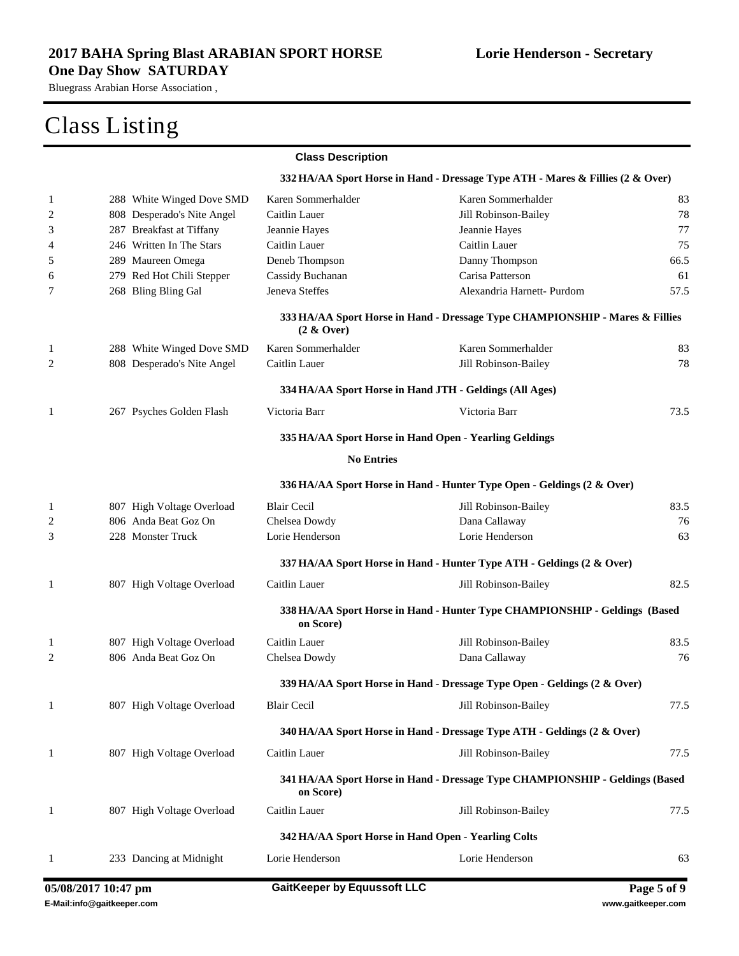|              |                            | <b>Class Description</b>                                |                                                                                |      |
|--------------|----------------------------|---------------------------------------------------------|--------------------------------------------------------------------------------|------|
|              |                            |                                                         | 332 HA/AA Sport Horse in Hand - Dressage Type ATH - Mares & Fillies (2 & Over) |      |
| 1            | 288 White Winged Dove SMD  | Karen Sommerhalder                                      | Karen Sommerhalder                                                             | 83   |
| 2            | 808 Desperado's Nite Angel | Caitlin Lauer                                           | Jill Robinson-Bailey                                                           | 78   |
| 3            | 287 Breakfast at Tiffany   | Jeannie Hayes                                           | Jeannie Hayes                                                                  | 77   |
| 4            | 246 Written In The Stars   | Caitlin Lauer                                           | Caitlin Lauer                                                                  | 75   |
| 5            | 289 Maureen Omega          | Deneb Thompson                                          | Danny Thompson                                                                 | 66.5 |
| 6            | 279 Red Hot Chili Stepper  | Cassidy Buchanan                                        | Carisa Patterson                                                               | 61   |
| 7            | 268 Bling Bling Gal        | Jeneva Steffes                                          | Alexandria Harnett- Purdom                                                     | 57.5 |
|              |                            | $(2 \& Qver)$                                           | 333 HA/AA Sport Horse in Hand - Dressage Type CHAMPIONSHIP - Mares & Fillies   |      |
| 1            | 288 White Winged Dove SMD  | Karen Sommerhalder                                      | Karen Sommerhalder                                                             | 83   |
| 2            | 808 Desperado's Nite Angel | Caitlin Lauer                                           | Jill Robinson-Bailey                                                           | 78   |
|              |                            | 334 HA/AA Sport Horse in Hand JTH - Geldings (All Ages) |                                                                                |      |
| 1            | 267 Psyches Golden Flash   | Victoria Barr                                           | Victoria Barr                                                                  | 73.5 |
|              |                            | 335 HA/AA Sport Horse in Hand Open - Yearling Geldings  |                                                                                |      |
|              |                            | <b>No Entries</b>                                       |                                                                                |      |
|              |                            |                                                         | 336 HA/AA Sport Horse in Hand - Hunter Type Open - Geldings (2 & Over)         |      |
| 1            | 807 High Voltage Overload  | <b>Blair Cecil</b>                                      | Jill Robinson-Bailey                                                           | 83.5 |
| 2            | 806 Anda Beat Goz On       | Chelsea Dowdy                                           | Dana Callaway                                                                  | 76   |
| 3            | 228 Monster Truck          | Lorie Henderson                                         | Lorie Henderson                                                                | 63   |
|              |                            |                                                         | 337 HA/AA Sport Horse in Hand - Hunter Type ATH - Geldings (2 & Over)          |      |
| 1            | 807 High Voltage Overload  | Caitlin Lauer                                           | Jill Robinson-Bailey                                                           | 82.5 |
|              |                            | on Score)                                               | 338 HA/AA Sport Horse in Hand - Hunter Type CHAMPIONSHIP - Geldings (Based     |      |
| 1            | 807 High Voltage Overload  | Caitlin Lauer                                           | Jill Robinson-Bailey                                                           | 83.5 |
| 2            | 806 Anda Beat Goz On       | Chelsea Dowdy                                           | Dana Callaway                                                                  | 76   |
|              |                            |                                                         | 339 HA/AA Sport Horse in Hand - Dressage Type Open - Geldings (2 & Over)       |      |
| $\mathbf{1}$ | 807 High Voltage Overload  | <b>Blair Cecil</b>                                      | Jill Robinson-Bailey                                                           | 77.5 |
|              |                            |                                                         | 340 HA/AA Sport Horse in Hand - Dressage Type ATH - Geldings (2 & Over)        |      |
| $\mathbf{1}$ | 807 High Voltage Overload  | Caitlin Lauer                                           | Jill Robinson-Bailey                                                           | 77.5 |
|              |                            | on Score)                                               | 341 HA/AA Sport Horse in Hand - Dressage Type CHAMPIONSHIP - Geldings (Based   |      |
| $\mathbf{1}$ | 807 High Voltage Overload  | Caitlin Lauer                                           | Jill Robinson-Bailey                                                           | 77.5 |
|              |                            | 342 HA/AA Sport Horse in Hand Open - Yearling Colts     |                                                                                |      |
| 1            | 233 Dancing at Midnight    | Lorie Henderson                                         | Lorie Henderson                                                                | 63   |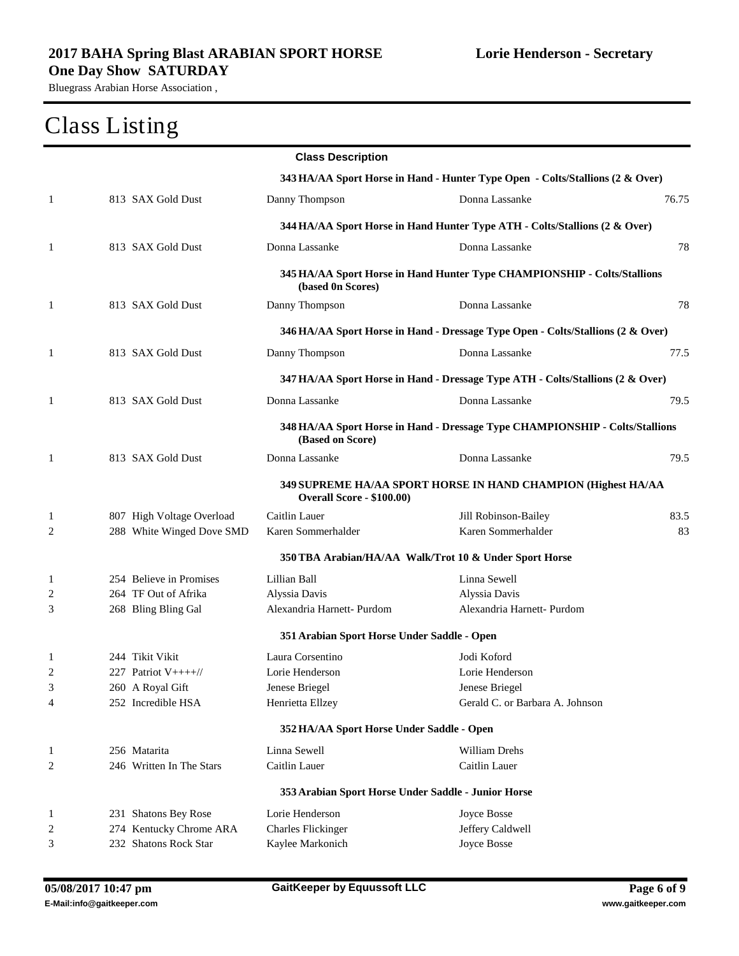|                |                           | <b>Class Description</b>                            |                                                                                 |       |
|----------------|---------------------------|-----------------------------------------------------|---------------------------------------------------------------------------------|-------|
|                |                           |                                                     | 343 HA/AA Sport Horse in Hand - Hunter Type Open - Colts/Stallions (2 & Over)   |       |
| 1              | 813 SAX Gold Dust         | Danny Thompson                                      | Donna Lassanke                                                                  | 76.75 |
|                |                           |                                                     | 344 HA/AA Sport Horse in Hand Hunter Type ATH - Colts/Stallions (2 & Over)      |       |
| 1              | 813 SAX Gold Dust         | Donna Lassanke                                      | Donna Lassanke                                                                  | 78    |
|                |                           | (based 0n Scores)                                   | 345 HA/AA Sport Horse in Hand Hunter Type CHAMPIONSHIP - Colts/Stallions        |       |
| 1              | 813 SAX Gold Dust         | Danny Thompson                                      | Donna Lassanke                                                                  | 78    |
|                |                           |                                                     | 346 HA/AA Sport Horse in Hand - Dressage Type Open - Colts/Stallions (2 & Over) |       |
| $\mathbf{1}$   | 813 SAX Gold Dust         | Danny Thompson                                      | Donna Lassanke                                                                  | 77.5  |
|                |                           |                                                     | 347 HA/AA Sport Horse in Hand - Dressage Type ATH - Colts/Stallions (2 & Over)  |       |
| 1              | 813 SAX Gold Dust         | Donna Lassanke                                      | Donna Lassanke                                                                  | 79.5  |
|                |                           | (Based on Score)                                    | 348 HA/AA Sport Horse in Hand - Dressage Type CHAMPIONSHIP - Colts/Stallions    |       |
| 1              | 813 SAX Gold Dust         | Donna Lassanke                                      | Donna Lassanke                                                                  | 79.5  |
|                |                           | <b>Overall Score - \$100.00)</b>                    | 349 SUPREME HA/AA SPORT HORSE IN HAND CHAMPION (Highest HA/AA                   |       |
| $\mathbf{1}$   | 807 High Voltage Overload | Caitlin Lauer                                       | Jill Robinson-Bailey                                                            | 83.5  |
| 2              | 288 White Winged Dove SMD | Karen Sommerhalder                                  | Karen Sommerhalder                                                              | 83    |
|                |                           |                                                     | 350 TBA Arabian/HA/AA Walk/Trot 10 & Under Sport Horse                          |       |
| 1              | 254 Believe in Promises   | Lillian Ball                                        | Linna Sewell                                                                    |       |
| 2              | 264 TF Out of Afrika      | Alyssia Davis                                       | Alyssia Davis                                                                   |       |
| 3              | 268 Bling Bling Gal       | Alexandria Harnett- Purdom                          | Alexandria Harnett- Purdom                                                      |       |
|                |                           | 351 Arabian Sport Horse Under Saddle - Open         |                                                                                 |       |
| 1              | 244 Tikit Vikit           | Laura Corsentino                                    | Jodi Koford                                                                     |       |
| $\overline{2}$ | 227 Patriot V++++//       | Lorie Henderson                                     | Lorie Henderson                                                                 |       |
| 3              | 260 A Royal Gift          | Jenese Briegel                                      | Jenese Briegel                                                                  |       |
| 4              | 252 Incredible HSA        | Henrietta Ellzey                                    | Gerald C. or Barbara A. Johnson                                                 |       |
|                |                           | 352 HA/AA Sport Horse Under Saddle - Open           |                                                                                 |       |
| 1              | 256 Matarita              | Linna Sewell                                        | William Drehs                                                                   |       |
| $\overline{c}$ | 246 Written In The Stars  | Caitlin Lauer                                       | Caitlin Lauer                                                                   |       |
|                |                           | 353 Arabian Sport Horse Under Saddle - Junior Horse |                                                                                 |       |
| 1              | 231 Shatons Bey Rose      | Lorie Henderson                                     | Joyce Bosse                                                                     |       |
| $\overline{c}$ | 274 Kentucky Chrome ARA   | <b>Charles Flickinger</b>                           | Jeffery Caldwell                                                                |       |
| 3              | 232 Shatons Rock Star     | Kaylee Markonich                                    | Joyce Bosse                                                                     |       |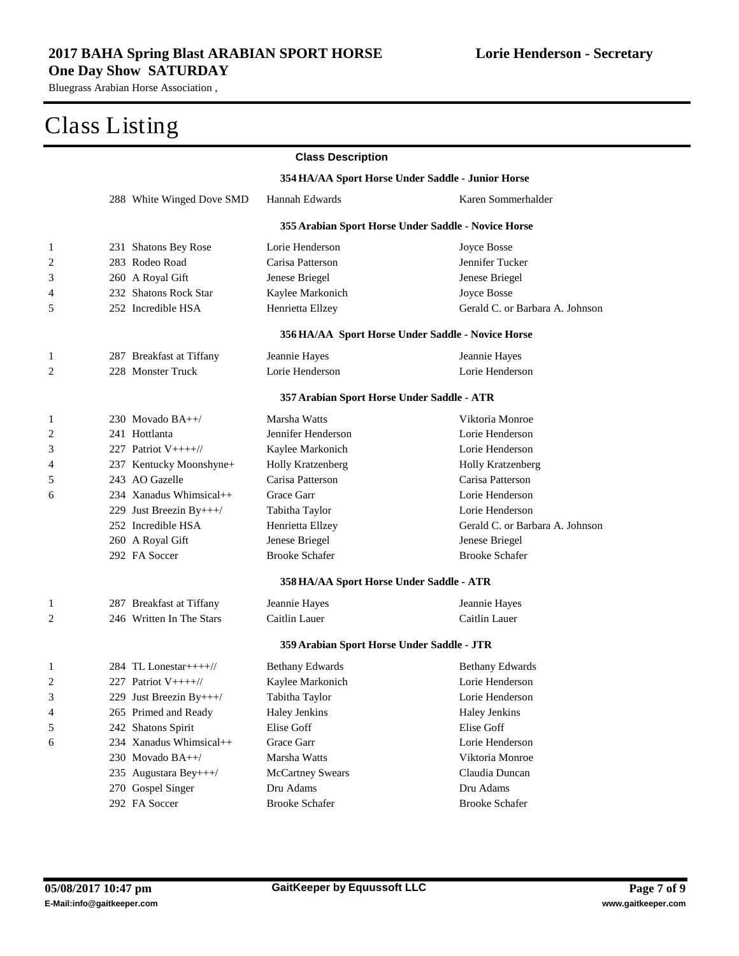|                |                                                   | <b>Class Description</b>                   |                                                     |  |  |
|----------------|---------------------------------------------------|--------------------------------------------|-----------------------------------------------------|--|--|
|                | 354 HA/AA Sport Horse Under Saddle - Junior Horse |                                            |                                                     |  |  |
|                | 288 White Winged Dove SMD                         | Hannah Edwards                             | Karen Sommerhalder                                  |  |  |
|                |                                                   |                                            | 355 Arabian Sport Horse Under Saddle - Novice Horse |  |  |
| 1              | 231 Shatons Bey Rose                              | Lorie Henderson                            | Joyce Bosse                                         |  |  |
| $\overline{c}$ | 283 Rodeo Road                                    | Carisa Patterson                           | Jennifer Tucker                                     |  |  |
| 3              | 260 A Royal Gift                                  | Jenese Briegel                             | Jenese Briegel                                      |  |  |
| 4              | 232 Shatons Rock Star                             | Kaylee Markonich                           | Joyce Bosse                                         |  |  |
| 5              | 252 Incredible HSA                                | Henrietta Ellzey                           | Gerald C. or Barbara A. Johnson                     |  |  |
|                |                                                   |                                            | 356 HA/AA Sport Horse Under Saddle - Novice Horse   |  |  |
| 1              | 287 Breakfast at Tiffany                          | Jeannie Hayes                              | Jeannie Hayes                                       |  |  |
| 2              | 228 Monster Truck                                 | Lorie Henderson                            | Lorie Henderson                                     |  |  |
|                |                                                   | 357 Arabian Sport Horse Under Saddle - ATR |                                                     |  |  |
| 1              | 230 Movado $BA++/$                                | Marsha Watts                               | Viktoria Monroe                                     |  |  |
| 2              | 241 Hottlanta                                     | Jennifer Henderson                         | Lorie Henderson                                     |  |  |
| 3              | 227 Patriot $V++++$                               | Kaylee Markonich                           | Lorie Henderson                                     |  |  |
| 4              | 237 Kentucky Moonshyne+                           | Holly Kratzenberg                          | Holly Kratzenberg                                   |  |  |
| 5              | 243 AO Gazelle                                    | Carisa Patterson                           | Carisa Patterson                                    |  |  |
| 6              | 234 Xanadus Whimsical++                           | Grace Garr                                 | Lorie Henderson                                     |  |  |
|                | 229 Just Breezin By+++/                           | Tabitha Taylor                             | Lorie Henderson                                     |  |  |
|                | 252 Incredible HSA                                | Henrietta Ellzey                           | Gerald C. or Barbara A. Johnson                     |  |  |
|                | 260 A Royal Gift                                  | Jenese Briegel                             | Jenese Briegel                                      |  |  |
|                | 292 FA Soccer                                     | <b>Brooke Schafer</b>                      | <b>Brooke Schafer</b>                               |  |  |
|                |                                                   | 358 HA/AA Sport Horse Under Saddle - ATR   |                                                     |  |  |
| 1              | 287 Breakfast at Tiffany                          | Jeannie Hayes                              | Jeannie Hayes                                       |  |  |
| 2              | 246 Written In The Stars                          | Caitlin Lauer                              | Caitlin Lauer                                       |  |  |
|                |                                                   | 359 Arabian Sport Horse Under Saddle - JTR |                                                     |  |  |
| 1              | 284 TL Lonestar++++ $\frac{1}{\sqrt{2}}$          | <b>Bethany Edwards</b>                     | <b>Bethany Edwards</b>                              |  |  |
| 2              | 227 Patriot V++++//                               | Kaylee Markonich                           | Lorie Henderson                                     |  |  |
| 3              | 229 Just Breezin By+++/                           | Tabitha Taylor                             | Lorie Henderson                                     |  |  |
| 4              | 265 Primed and Ready                              | Haley Jenkins                              | Haley Jenkins                                       |  |  |
| 5              | 242 Shatons Spirit                                | Elise Goff                                 | Elise Goff                                          |  |  |
| 6              | 234 Xanadus Whimsical++                           | Grace Garr                                 | Lorie Henderson                                     |  |  |
|                | 230 Movado BA++/                                  | Marsha Watts                               | Viktoria Monroe                                     |  |  |
|                | 235 Augustara Bey+++/                             | <b>McCartney Swears</b>                    | Claudia Duncan                                      |  |  |
|                | 270 Gospel Singer                                 | Dru Adams                                  | Dru Adams                                           |  |  |
|                | 292 FA Soccer                                     | <b>Brooke Schafer</b>                      | <b>Brooke Schafer</b>                               |  |  |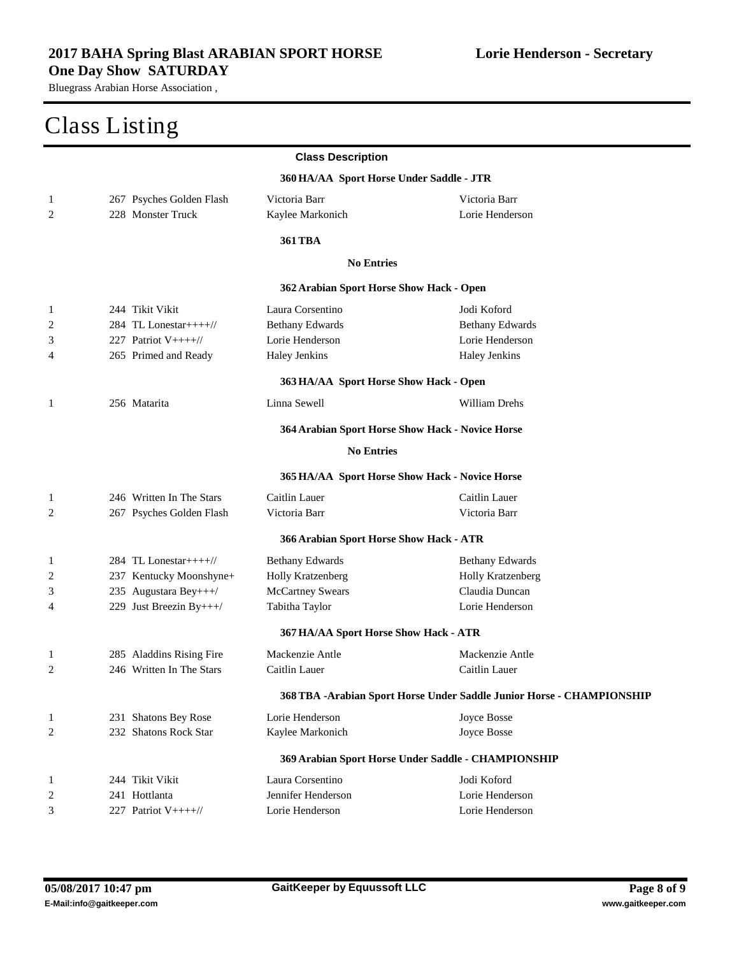|                |                                          | <b>Class Description</b>                         |                                                                        |
|----------------|------------------------------------------|--------------------------------------------------|------------------------------------------------------------------------|
|                |                                          | 360 HA/AA Sport Horse Under Saddle - JTR         |                                                                        |
| 1              | 267 Psyches Golden Flash                 | Victoria Barr                                    | Victoria Barr                                                          |
| 2              | 228 Monster Truck                        | Kaylee Markonich                                 | Lorie Henderson                                                        |
|                |                                          | <b>361 TBA</b>                                   |                                                                        |
|                |                                          | <b>No Entries</b>                                |                                                                        |
|                |                                          | 362 Arabian Sport Horse Show Hack - Open         |                                                                        |
| 1              | 244 Tikit Vikit                          | Laura Corsentino                                 | Jodi Koford                                                            |
| $\overline{c}$ | 284 TL Lonestar++++//                    | <b>Bethany Edwards</b>                           | <b>Bethany Edwards</b>                                                 |
| 3              | 227 Patriot V++++//                      | Lorie Henderson                                  | Lorie Henderson                                                        |
| 4              | 265 Primed and Ready                     | Haley Jenkins                                    | Haley Jenkins                                                          |
|                |                                          | 363 HA/AA Sport Horse Show Hack - Open           |                                                                        |
| 1              | 256 Matarita                             | Linna Sewell                                     | William Drehs                                                          |
|                |                                          | 364 Arabian Sport Horse Show Hack - Novice Horse |                                                                        |
|                |                                          | <b>No Entries</b>                                |                                                                        |
|                |                                          | 365 HA/AA Sport Horse Show Hack - Novice Horse   |                                                                        |
| 1              | 246 Written In The Stars                 | Caitlin Lauer                                    | Caitlin Lauer                                                          |
| 2              | 267 Psyches Golden Flash                 | Victoria Barr                                    | Victoria Barr                                                          |
|                |                                          | 366 Arabian Sport Horse Show Hack - ATR          |                                                                        |
| 1              | 284 TL Lonestar++++ $\frac{1}{\sqrt{2}}$ | <b>Bethany Edwards</b>                           | <b>Bethany Edwards</b>                                                 |
| 2              | 237 Kentucky Moonshyne+                  | Holly Kratzenberg                                | Holly Kratzenberg                                                      |
| 3              | 235 Augustara Bey+++/                    | <b>McCartney Swears</b>                          | Claudia Duncan                                                         |
| 4              | 229 Just Breezin By+++/                  | Tabitha Taylor                                   | Lorie Henderson                                                        |
|                |                                          | 367 HA/AA Sport Horse Show Hack - ATR            |                                                                        |
| 1              | 285 Aladdins Rising Fire                 | Mackenzie Antle                                  | Mackenzie Antle                                                        |
| 2              | 246 Written In The Stars                 | Caitlin Lauer                                    | Caitlin Lauer                                                          |
|                |                                          |                                                  | 368 TBA - Arabian Sport Horse Under Saddle Junior Horse - CHAMPIONSHIP |
| 1              | 231 Shatons Bey Rose                     | Lorie Henderson                                  | Joyce Bosse                                                            |
| 2              | 232 Shatons Rock Star                    | Kaylee Markonich                                 | Joyce Bosse                                                            |
|                |                                          |                                                  | 369 Arabian Sport Horse Under Saddle - CHAMPIONSHIP                    |
| 1              | 244 Tikit Vikit                          | Laura Corsentino                                 | Jodi Koford                                                            |
| 2              | 241 Hottlanta                            | Jennifer Henderson                               | Lorie Henderson                                                        |
| 3              | 227 Patriot V++++//                      | Lorie Henderson                                  | Lorie Henderson                                                        |